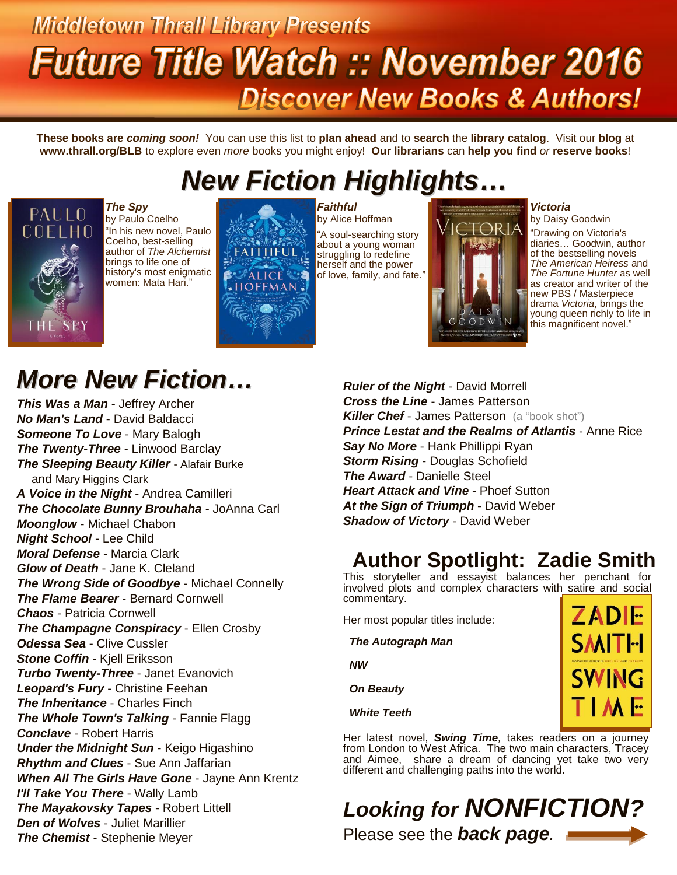# **Middletown Thrall Library Presents Future Title Watch :: November 2016 Discover New Books & Authors!**

**These books are** *coming soon!* You can use this list to **plan ahead** and to **search** the **library catalog**. Visit our **blog** at **www.thrall.org/BLB** to explore even *more* books you might enjoy! **Our librarians** can **help you find** *or* **reserve books**!

## *New Fiction Highlights…*



*The Spy* by Paulo Coelho "In his new novel, Paulo Coelho, best-selling author of *The Alchemist* brings to life one of history's most enigmatic women: Mata Hari."



*Faithful* by Alice Hoffman "A soul-searching story about a young woman struggling to redefine herself and the power of love, family, and fate."



#### *Victoria*

by Daisy Goodwin "Drawing on Victoria's diaries… Goodwin, author of the bestselling novels *The American Heiress* and *The Fortune Hunter* as well as creator and writer of the new PBS / Masterpiece drama *Victoria*, brings the young queen richly to life in this magnificent novel."

### *More New Fiction…*

*This Was a Man* - Jeffrey Archer *No Man's Land* - David Baldacci *Someone To Love* - Mary Balogh *The Twenty-Three* - Linwood Barclay *The Sleeping Beauty Killer* - Alafair Burke and Mary Higgins Clark *A Voice in the Night* - Andrea Camilleri *The Chocolate Bunny Brouhaha* - JoAnna Carl *Moonglow* - Michael Chabon *Night School* - Lee Child *Moral Defense* - Marcia Clark *Glow of Death* - Jane K. Cleland *The Wrong Side of Goodbye* - Michael Connelly *The Flame Bearer* - Bernard Cornwell *Chaos* - Patricia Cornwell *The Champagne Conspiracy* - Ellen Crosby *Odessa Sea* - Clive Cussler **Stone Coffin - Kiell Eriksson** *Turbo Twenty-Three* - Janet Evanovich *Leopard's Fury* - Christine Feehan *The Inheritance* - Charles Finch *The Whole Town's Talking* - Fannie Flagg *Conclave* - Robert Harris *Under the Midnight Sun* - Keigo Higashino *Rhythm and Clues* - Sue Ann Jaffarian *When All The Girls Have Gone* - Jayne Ann Krentz *I'll Take You There* - Wally Lamb *The Mayakovsky Tapes* - Robert Littell *Den of Wolves* - Juliet Marillier *The Chemist* - Stephenie Meyer

*Ruler of the Night* - David Morrell *Cross the Line* - James Patterson **Killer Chef** - James Patterson (a "book shot") *Prince Lestat and the Realms of Atlantis* - Anne Rice *Say No More* - Hank Phillippi Ryan *Storm Rising* - Douglas Schofield *The Award* - Danielle Steel *Heart Attack and Vine* - Phoef Sutton *At the Sign of Triumph* - David Weber *Shadow of Victory* - David Weber

### **Author Spotlight: Zadie Smith**

This storyteller and essayist balances her penchant for involved plots and complex characters with satire and social commentary.

Her most popular titles include:

 *The Autograph Man*

 *NW*

 *On Beauty*

 *White Teeth*

Her latest novel, *Swing Time,* takes readers on a journey from London to West Africa. The two main characters, Tracey and Aimee, share a dream of dancing yet take two very different and challenging paths into the world.